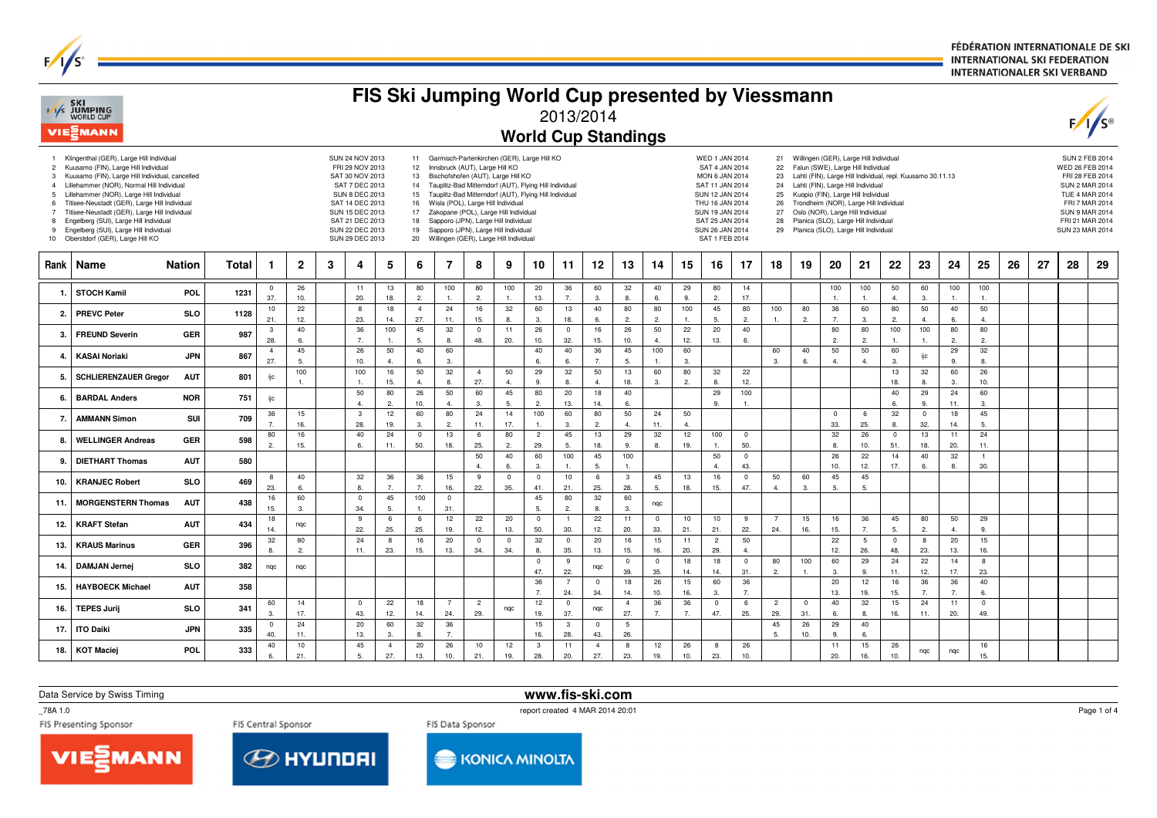FÉDÉRATION INTERNATIONALE DE SKI **INTERNATIONAL SKI FEDERATION INTERNATIONALER SKI VERBAND** 

|                                                  | F/I/S SKI<br>WORLD CUP<br>VIESMANN                                                                                                                                                                                                                                                                                                                                                                                                                             |               |       |                       |                |   |                                                                                                                                                                                                 |                       |                                                                 |                                                                                                                                                                                                                                                                               |                                |                       | FIS Ski Jumping World Cup presented by Viessmann<br><b>World Cup Standings</b>                                                                                     | 2013/2014               |                       |                        |                      |                    |                                                                                                                                                                                                      |                       |                                              |                     |                       |                                                                                                                                                                                                                                                                                                                                                                                           |                       |                      |                      |                       |    |    |                                                                                                                    | $\sqrt{s}$                                                 |
|--------------------------------------------------|----------------------------------------------------------------------------------------------------------------------------------------------------------------------------------------------------------------------------------------------------------------------------------------------------------------------------------------------------------------------------------------------------------------------------------------------------------------|---------------|-------|-----------------------|----------------|---|-------------------------------------------------------------------------------------------------------------------------------------------------------------------------------------------------|-----------------------|-----------------------------------------------------------------|-------------------------------------------------------------------------------------------------------------------------------------------------------------------------------------------------------------------------------------------------------------------------------|--------------------------------|-----------------------|--------------------------------------------------------------------------------------------------------------------------------------------------------------------|-------------------------|-----------------------|------------------------|----------------------|--------------------|------------------------------------------------------------------------------------------------------------------------------------------------------------------------------------------------------|-----------------------|----------------------------------------------|---------------------|-----------------------|-------------------------------------------------------------------------------------------------------------------------------------------------------------------------------------------------------------------------------------------------------------------------------------------------------------------------------------------------------------------------------------------|-----------------------|----------------------|----------------------|-----------------------|----|----|--------------------------------------------------------------------------------------------------------------------|------------------------------------------------------------|
| 3<br>$\overline{4}$<br>-5<br>$\overline{7}$<br>9 | 1 Klingenthal (GER), Large Hill Individual<br>2 Kuusamo (FIN), Large Hill Individual<br>Kuusamo (FIN), Large Hill Individual, cancelled<br>Lillehammer (NOR), Normal Hill Individual<br>Lillehammer (NOR), Large Hill Individual<br>Titisee-Neustadt (GER), Large Hill Individual<br>Titisee-Neustadt (GER), Large Hill Individual<br>8 Engelberg (SUI), Large Hill Individual<br>Engelberg (SUI), Large Hill Individual<br>10 Oberstdorf (GER), Large Hill KO |               |       |                       |                |   | SUN 24 NOV 2013<br>FRI 29 NOV 2013<br>SAT 30 NOV 2013<br>SAT 7 DEC 2013<br><b>SUN 8 DEC 2013</b><br>SAT 14 DEC 2013<br>SUN 15 DEC 2013<br>SAT 21 DEC 2013<br>SUN 22 DEC 2013<br>SUN 29 DEC 2013 |                       | 12 <sup>2</sup><br>13<br>14<br>15<br>16<br>17<br>18<br>19<br>20 | Innsbruck (AUT), Large Hill KO<br>Bischofshofen (AUT), Large Hill KO<br>Wisla (POL), Large Hill Individual<br>Zakopane (POL), Large Hill Individual<br>Sapporo (JPN), Large Hill Individual<br>Sapporo (JPN), Large Hill Individual<br>Willingen (GER), Large Hill Individual |                                |                       | 11 Garmisch-Partenkirchen (GER), Large Hill KO<br>Tauplitz-Bad Mitterndorf (AUT), Flying Hill Individual<br>Tauplitz-Bad Mitterndorf (AUT), Flying Hill Individual |                         |                       |                        |                      |                    | <b>WED 1 JAN 2014</b><br>SAT 4 JAN 2014<br><b>MON 6 JAN 2014</b><br>SAT 11 JAN 2014<br>SUN 12 JAN 2014<br>THU 16 JAN 2014<br>SUN 19 JAN 2014<br>SAT 25 JAN 2014<br>SUN 26 JAN 2014<br>SAT 1 FEB 2014 |                       | 22<br>23<br>24<br>25<br>26<br>27<br>28<br>29 |                     |                       | 21 Willingen (GER), Large Hill Individual<br>Falun (SWE), Large Hill Individual<br>Lahti (FIN), Large Hill Individual, repl. Kuusamo 30.11.13<br>Lahti (FIN), Large Hill Individual<br>Kuopio (FIN), Large Hill Individual<br>Trondheim (NOR), Large Hill Individual<br>Oslo (NOR), Large Hill Individual<br>Planica (SLO), Large Hill Individual<br>Planica (SLO), Large Hill Individual |                       |                      |                      |                       |    |    | WED 26 FEB 2014<br>SUN 2 MAR 2014<br><b>TUE 4 MAR 2014</b><br>SUN 9 MAR 2014<br>FRI 21 MAR 2014<br>SUN 23 MAR 2014 | <b>SUN 2 FEB 2014</b><br>FRI 28 FEB 2014<br>FRI 7 MAR 2014 |
| Rank                                             | Name                                                                                                                                                                                                                                                                                                                                                                                                                                                           | <b>Nation</b> | Total | 1                     | $\overline{2}$ | 3 | 4                                                                                                                                                                                               | 5                     | 6                                                               | 7                                                                                                                                                                                                                                                                             | 8                              | 9                     | 10                                                                                                                                                                 | 11                      | 12                    | 13                     | 14                   | 15                 | 16                                                                                                                                                                                                   | 17                    | 18                                           | 19                  | 20                    | 21                                                                                                                                                                                                                                                                                                                                                                                        | 22                    | 23                   | 24                   | 25                    | 26 | 27 | 28                                                                                                                 | 29                                                         |
| -1.                                              | <b>STOCH Kamil</b>                                                                                                                                                                                                                                                                                                                                                                                                                                             | POL           | 1231  | $^{\circ}$<br>37.     | 26<br>10.      |   | 11<br>20.                                                                                                                                                                                       | 13<br>18.             | 80<br>2.                                                        | 100                                                                                                                                                                                                                                                                           | 80<br>$\overline{2}$           | 100<br>$\overline{1}$ | 20<br>13.                                                                                                                                                          | 36<br>$\overline{7}$    | 60<br>3.              | 32<br>8.               | 40<br>6.             | 29<br>9.           | 80<br>2.                                                                                                                                                                                             | 14<br>17.             |                                              |                     | 100<br>$\mathbf{1}$ . | 100<br>$\overline{1}$ .                                                                                                                                                                                                                                                                                                                                                                   | 50<br>4.              | 60<br>3.             | 100<br>$\mathbf{1}$  | 100<br>$\mathbf{1}$   |    |    |                                                                                                                    |                                                            |
| 2.                                               | <b>PREVC Peter</b>                                                                                                                                                                                                                                                                                                                                                                                                                                             | <b>SLO</b>    | 1128  | 10<br>21.             | 22<br>12.      |   | - 8<br>23.                                                                                                                                                                                      | 18<br>14.             | $\overline{4}$<br>27.                                           | 24<br>11.                                                                                                                                                                                                                                                                     | 16<br>15.                      | 32<br>8.              | 60<br>3.                                                                                                                                                           | 13<br>18.               | 40<br>6.              | 80<br>2.               | 80<br>2.             | 100<br>1.          | 45<br>5.                                                                                                                                                                                             | 80<br>2.              | 100<br>1.                                    | 80<br>2.            | 36<br>7.              | 60<br>3.                                                                                                                                                                                                                                                                                                                                                                                  | 80<br>2.              | 50<br>4.             | 40<br>6.             | 50<br>$\overline{4}$  |    |    |                                                                                                                    |                                                            |
| 3.                                               | <b>FREUND Severin</b>                                                                                                                                                                                                                                                                                                                                                                                                                                          | <b>GER</b>    | 987   | $\mathbf{3}$<br>28.   | 40<br>6.       |   | 36<br>$\overline{7}$                                                                                                                                                                            | 100<br>$\mathbf{1}$   | 45<br>5.                                                        | 32<br>8.                                                                                                                                                                                                                                                                      | $^{\circ}$<br>48.              | 11<br>20.             | 26<br>10.                                                                                                                                                          | $\mathbf 0$<br>32.      | 16<br>15.             | 26<br>10.              | 50<br>$\overline{4}$ | 22<br>12.          | 20<br>13.                                                                                                                                                                                            | 40<br>6.              |                                              |                     | 80<br>2.              | 80<br>2.                                                                                                                                                                                                                                                                                                                                                                                  | 100<br>$\overline{1}$ | 100<br>$\mathbf{1}$  | 80<br>2.             | 80<br>2.              |    |    |                                                                                                                    |                                                            |
| 4.                                               | <b>KASAI Noriaki</b>                                                                                                                                                                                                                                                                                                                                                                                                                                           | <b>JPN</b>    | 867   | $\overline{4}$<br>27. | 45<br>-5.      |   | 26<br>10.                                                                                                                                                                                       | 50<br>$\overline{4}$  | 40<br>6.                                                        | 60<br>3.                                                                                                                                                                                                                                                                      |                                |                       | 40<br>6.                                                                                                                                                           | 40                      | 36                    | 45<br>5.               | 100                  | 60<br>3.           |                                                                                                                                                                                                      |                       | 60<br>3.                                     | 40<br>6.            | 50<br>$\overline{4}$  | 50<br>$\overline{4}$                                                                                                                                                                                                                                                                                                                                                                      | 60<br>3.              | ijc                  | 29<br>9.             | 32<br>8.              |    |    |                                                                                                                    |                                                            |
| 5.                                               | <b>SCHLIERENZAUER Gregor</b>                                                                                                                                                                                                                                                                                                                                                                                                                                   | <b>AUT</b>    | 801   | ijс                   | 100            |   | 100<br>$\mathbf{1}$                                                                                                                                                                             | 16<br>15.             | 50<br>$\overline{4}$                                            | 32<br>8.                                                                                                                                                                                                                                                                      | $\overline{4}$<br>27.          | 50<br>$\overline{4}$  | 29<br>9.                                                                                                                                                           | 32<br>8.                | 50<br>$\overline{4}$  | 13<br>18.              | 60<br>3.             | 80<br>2.           | 32<br>8.                                                                                                                                                                                             | 22<br>12.             |                                              |                     |                       |                                                                                                                                                                                                                                                                                                                                                                                           | 13<br>18.             | 32<br>8.             | 60<br>3.             | 26<br>10.             |    |    |                                                                                                                    |                                                            |
| 6.                                               | <b>BARDAL Anders</b>                                                                                                                                                                                                                                                                                                                                                                                                                                           | <b>NOR</b>    | 751   | ijс                   |                |   | 50<br>$\overline{4}$                                                                                                                                                                            | 80<br>2.              | 26<br>10.                                                       | 50<br>$\mathbf{4}$                                                                                                                                                                                                                                                            | 60<br>3.                       | 45<br>5.              | 80<br>2.                                                                                                                                                           | 20<br>13.               | 18<br>14.             | 40<br>6.               |                      |                    | 29<br>9.                                                                                                                                                                                             | 100<br>$\mathbf{1}$   |                                              |                     |                       |                                                                                                                                                                                                                                                                                                                                                                                           | 40<br>6.              | 29<br>9.             | 24<br>11.            | 60<br>3.              |    |    |                                                                                                                    |                                                            |
| 7.                                               | <b>AMMANN Simon</b>                                                                                                                                                                                                                                                                                                                                                                                                                                            | SUI           | 709   | 36<br>7.              | 15<br>16.      |   | $\mathbf{3}$<br>28.                                                                                                                                                                             | 12<br>19.             | 60<br>3.                                                        | 80<br>$\overline{2}$                                                                                                                                                                                                                                                          | 24<br>11.                      | 14<br>17.             | 100<br>$\mathbf{1}$                                                                                                                                                | 60<br>3.                | 80<br>2.              | 50<br>$\overline{4}$   | 24<br>11.            | 50<br>$\mathbf{4}$ |                                                                                                                                                                                                      |                       |                                              |                     | $\overline{0}$<br>33. | 6<br>25.                                                                                                                                                                                                                                                                                                                                                                                  | 32<br>8.              | $\mathbf 0$<br>32.   | 18<br>14.            | 45<br>5.              |    |    |                                                                                                                    |                                                            |
| 8.                                               | <b>WELLINGER Andreas</b>                                                                                                                                                                                                                                                                                                                                                                                                                                       | <b>GER</b>    | 598   | 80<br>2.              | 16<br>15.      |   | 40<br>6.                                                                                                                                                                                        | 24<br>11.             | $^{\circ}$<br>50.                                               | 13<br>18.                                                                                                                                                                                                                                                                     | 6<br>25.                       | 80<br>$\overline{2}$  | $\overline{2}$<br>29.                                                                                                                                              | 45<br>-5.               | 13<br>18.             | 29<br>9.               | 32<br>8.             | 12<br>19.          | 100                                                                                                                                                                                                  | $\overline{0}$<br>50. |                                              |                     | 32<br>8.              | 26<br>10.                                                                                                                                                                                                                                                                                                                                                                                 | $\overline{0}$<br>51. | 13<br>18.            | 11<br>20.            | 24<br>11.             |    |    |                                                                                                                    |                                                            |
| 9.                                               | <b>DIETHART Thomas</b>                                                                                                                                                                                                                                                                                                                                                                                                                                         | <b>AUT</b>    | 580   |                       |                |   |                                                                                                                                                                                                 |                       |                                                                 |                                                                                                                                                                                                                                                                               | 50<br>$\overline{4}$           | 40<br>6.              | 60<br>3.                                                                                                                                                           | 100                     | 45<br>5.              | 100<br>1.              |                      |                    | 50<br>$\overline{4}$                                                                                                                                                                                 | $\overline{0}$<br>43. |                                              |                     | 26<br>10.             | 22<br>12.                                                                                                                                                                                                                                                                                                                                                                                 | 14<br>17.             | 40<br>6.             | 32<br>8.             | $\overline{1}$<br>30. |    |    |                                                                                                                    |                                                            |
| 10.                                              | <b>KRANJEC Robert</b>                                                                                                                                                                                                                                                                                                                                                                                                                                          | <b>SLO</b>    | 469   | 8<br>23.              | 40<br>6.       |   | 32<br>8.                                                                                                                                                                                        | 36<br>7.              | 36<br>$\overline{7}$                                            | 15<br>16.                                                                                                                                                                                                                                                                     | 9<br>22.                       | $\pmb{0}$<br>35.      | $\mathbf 0$<br>41.                                                                                                                                                 | 10<br>21.               | 6<br>25.              | 3<br>28.               | 45<br>5.             | 13<br>18.          | 16<br>15.                                                                                                                                                                                            | $^{\circ}$<br>47.     | 50<br>$\overline{4}$                         | 60<br>3.            | 45<br>5.              | 45<br>5.                                                                                                                                                                                                                                                                                                                                                                                  |                       |                      |                      |                       |    |    |                                                                                                                    |                                                            |
| 11.                                              | <b>MORGENSTERN Thomas</b>                                                                                                                                                                                                                                                                                                                                                                                                                                      | <b>AUT</b>    | 438   | 16<br>15.             | 60<br>3.       |   | $\overline{0}$<br>34.                                                                                                                                                                           | 45<br>5.              | 100<br>$\overline{1}$                                           | $\mathbf 0$<br>31                                                                                                                                                                                                                                                             |                                |                       | 45<br>5.                                                                                                                                                           | 80<br>$\overline{2}$    | 32                    | 60<br>3.               | nqc                  |                    |                                                                                                                                                                                                      |                       |                                              |                     |                       |                                                                                                                                                                                                                                                                                                                                                                                           |                       |                      |                      |                       |    |    |                                                                                                                    |                                                            |
| 12.                                              | <b>KRAFT Stefan</b>                                                                                                                                                                                                                                                                                                                                                                                                                                            | <b>AUT</b>    | 434   | 18<br>14.             | ngc            |   | 9<br>22.                                                                                                                                                                                        | 6<br>25.              | 6<br>25.                                                        | 12<br>19.                                                                                                                                                                                                                                                                     | 22<br>12.                      | 20<br>13.             | $\overline{0}$<br>50.                                                                                                                                              | $\overline{1}$<br>30.   | 22<br>12.             | 11<br>20.              | $\mathbf 0$<br>33.   | 10<br>21.          | 10<br>21.                                                                                                                                                                                            | 9<br>22.              | $7\overline{ }$<br>24.                       | 15<br>16.           | 16<br>15.             | 36<br>$\overline{7}$                                                                                                                                                                                                                                                                                                                                                                      | 45<br>5.              | 80<br>$\overline{2}$ | 50<br>$\overline{4}$ | 29<br>9.              |    |    |                                                                                                                    |                                                            |
| 13.                                              | <b>KRAUS Marinus</b>                                                                                                                                                                                                                                                                                                                                                                                                                                           | GER           | 396   | 32<br>8.              | 80<br>2.       |   | 24                                                                                                                                                                                              | 8                     | 16                                                              | 20<br>13.                                                                                                                                                                                                                                                                     | $\overline{\mathbf{0}}$<br>34. | $\pmb{0}$             | 32<br>8.                                                                                                                                                           | $\overline{\mathbf{0}}$ | 20                    | 16                     | 15<br>16.            | 11                 | $\overline{c}$<br>29.                                                                                                                                                                                | 50                    |                                              |                     | 22                    | $5\phantom{.0}$                                                                                                                                                                                                                                                                                                                                                                           | $^{\circ}$<br>48.     | 8                    | 20<br>13.            | 15                    |    |    |                                                                                                                    |                                                            |
| 14.                                              | <b>DAMJAN Jernei</b>                                                                                                                                                                                                                                                                                                                                                                                                                                           | <b>SLO</b>    | 382   | nqc                   | ngc            |   | 11.                                                                                                                                                                                             | 23.                   | 15.                                                             |                                                                                                                                                                                                                                                                               |                                | 34.                   | $\overline{0}$                                                                                                                                                     | 35.<br>9                | 13.<br>nqc            | 15.<br>$\circ$         | $\mathbf 0$          | 20.<br>18          | 18                                                                                                                                                                                                   | 4.<br>$^{\circ}$      | 80                                           | 100<br>$\mathbf{1}$ | 12.<br>60             | 26.<br>29                                                                                                                                                                                                                                                                                                                                                                                 | 24                    | 23.<br>22            | 14                   | 16.<br>8              |    |    |                                                                                                                    |                                                            |
| 15.                                              | <b>HAYBOECK Michael</b>                                                                                                                                                                                                                                                                                                                                                                                                                                        | <b>AUT</b>    | 358   |                       |                |   |                                                                                                                                                                                                 |                       |                                                                 |                                                                                                                                                                                                                                                                               |                                |                       | 47.<br>36                                                                                                                                                          | 22.<br>$\overline{7}$   | $\overline{0}$        | 39.<br>18              | 35.<br>26            | 14.<br>15          | 14.<br>60                                                                                                                                                                                            | 31.<br>36             | 2.                                           |                     | 3.<br>20              | 9.<br>12                                                                                                                                                                                                                                                                                                                                                                                  | 11.<br>16             | 12.<br>36            | 17.<br>36            | 23.<br>40             |    |    |                                                                                                                    |                                                            |
| 16.                                              | <b>TEPES Jurij</b>                                                                                                                                                                                                                                                                                                                                                                                                                                             | <b>SLO</b>    | 341   | 60                    | 14             |   | $\overline{\mathbf{0}}$                                                                                                                                                                         | 22                    | 18                                                              | $\overline{7}$                                                                                                                                                                                                                                                                | $\overline{2}$                 | ngc                   | $\overline{7}$<br>12                                                                                                                                               | 24<br>$\mathbf 0$       | 34.<br>ngc            | 14.<br>$\overline{4}$  | 10.<br>36            | 16.<br>36          | 3.<br>$\mathbf 0$                                                                                                                                                                                    | 7.<br>6               | $\overline{2}$                               | $\mathbf 0$         | 13.<br>40             | 19.<br>32                                                                                                                                                                                                                                                                                                                                                                                 | 15.<br>15             | $\overline{7}$<br>24 | $\overline{7}$<br>11 | 6.<br>$^{\circ}$      |    |    |                                                                                                                    |                                                            |
|                                                  |                                                                                                                                                                                                                                                                                                                                                                                                                                                                |               |       | 3.<br>$\overline{0}$  | 17.<br>24      |   | 43.<br>20                                                                                                                                                                                       | 12.<br>60             | 14<br>32                                                        | 24.<br>36                                                                                                                                                                                                                                                                     | 29.                            |                       | 19.<br>15                                                                                                                                                          | 37.<br>3                | $\overline{0}$        | 27.<br>$5\phantom{.0}$ | $\overline{7}$       | 7.                 | 47.                                                                                                                                                                                                  | 25.                   | 29.<br>45                                    | 31.<br>26           | 6.<br>29              | 8.<br>40                                                                                                                                                                                                                                                                                                                                                                                  | 16.                   | 11.                  | 20.                  | 49.                   |    |    |                                                                                                                    |                                                            |
| 17.                                              | <b>ITO Daiki</b>                                                                                                                                                                                                                                                                                                                                                                                                                                               | <b>JPN</b>    | 335   | 40.                   | 11.            |   | 13.                                                                                                                                                                                             | 3.                    | 8.                                                              | 7.                                                                                                                                                                                                                                                                            |                                |                       | 16                                                                                                                                                                 | 28.                     | 43.                   | 26.                    |                      |                    |                                                                                                                                                                                                      |                       | 5.                                           | 10.                 | 9.                    | 6.                                                                                                                                                                                                                                                                                                                                                                                        |                       |                      |                      |                       |    |    |                                                                                                                    |                                                            |
| 18.                                              | <b>KOT Maciej</b>                                                                                                                                                                                                                                                                                                                                                                                                                                              | POL           | 333   | 40<br>6.              | 10<br>21.      |   | 45<br>5.                                                                                                                                                                                        | $\overline{4}$<br>27. | 20<br>13.                                                       | 26<br>10.                                                                                                                                                                                                                                                                     | 10<br>21.                      | 12<br>19.             | $\mathbf{3}$<br>28.                                                                                                                                                | 11<br>20.               | $\overline{4}$<br>27. | 8<br>23.               | 12<br>19.            | 26<br>10.          | 8<br>23.                                                                                                                                                                                             | 26<br>10.             |                                              |                     | 11<br>20.             | 15<br>16.                                                                                                                                                                                                                                                                                                                                                                                 | 26<br>10.             | ngc                  | nqc                  | 16<br>15.             |    |    |                                                                                                                    |                                                            |

Data Service by Swiss Timing

**www.fis-ski.com**

\_78A 1.0

 $F/1/s^2$ 

report created 4 MAR 2014 20:01





KONICA MINOLTA

Page 1 of 4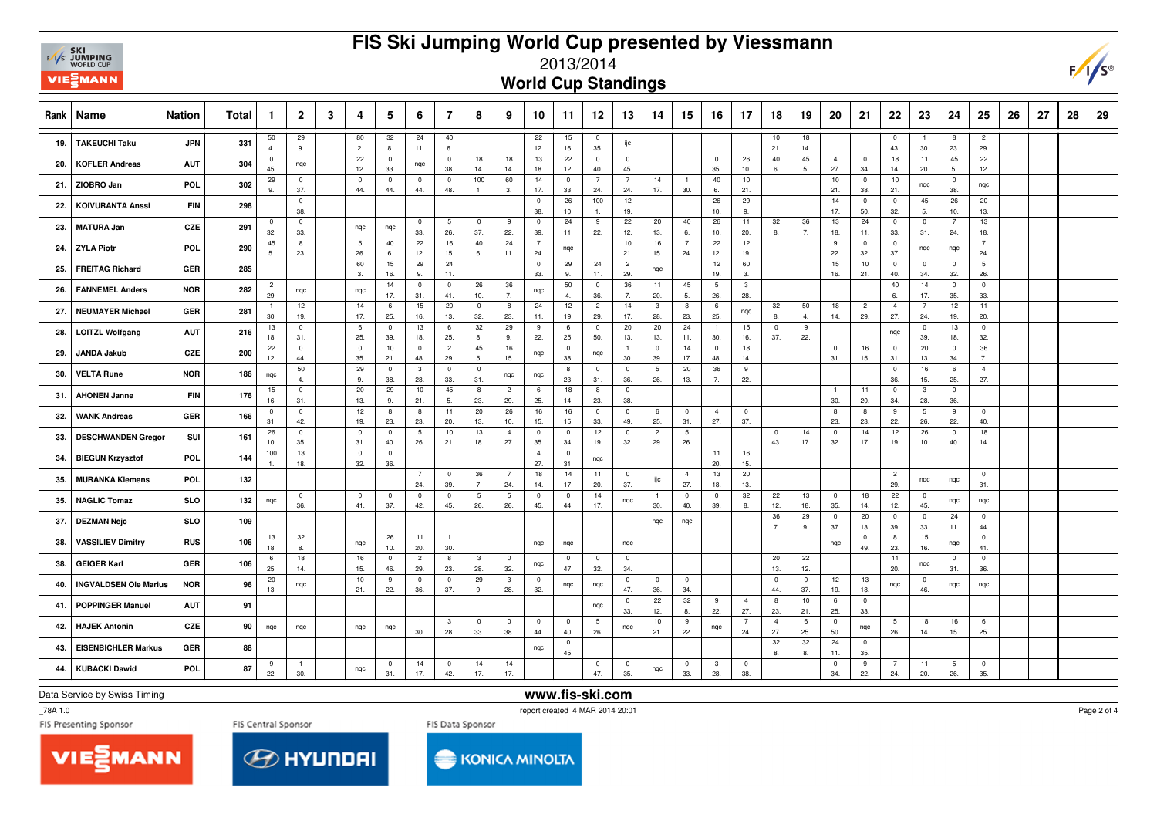

## **FIS Ski Jumping World Cup presented by Viessmann**



**World Cup Standings**

| Rank | <b>Nation</b><br>Name                      | Total | -1                    | $\overline{2}$        | 3 | 4                              | 5                     | 6                     | 7                     | 8                     | 9                              | 10                    | 11                   | 12                    | 13                    | 14                    | 15                     | 16                    | 17                     | 18                    | 19                   | 20                    | 21                    | 22                             | 23                             | 24                    | 25                    | 26 | 27 | 28 | 29 |
|------|--------------------------------------------|-------|-----------------------|-----------------------|---|--------------------------------|-----------------------|-----------------------|-----------------------|-----------------------|--------------------------------|-----------------------|----------------------|-----------------------|-----------------------|-----------------------|------------------------|-----------------------|------------------------|-----------------------|----------------------|-----------------------|-----------------------|--------------------------------|--------------------------------|-----------------------|-----------------------|----|----|----|----|
| 19.  | <b>JPN</b><br><b>TAKEUCHI Taku</b>         | 331   | 50<br>$\Delta$        | 29<br>9.              |   | 80<br>2.                       | 32<br>8.              | 24<br>11.             | 40<br>6.              |                       |                                | 22<br>12.             | 15<br>16.            | $\overline{0}$<br>35. | ijс                   |                       |                        |                       |                        | 10<br>21.             | 18<br>14.            |                       |                       | $\overline{0}$<br>43.          | $\overline{1}$<br>30.          | 8<br>23.              | $\overline{c}$<br>29. |    |    |    |    |
| 20.  | <b>KOFLER Andreas</b><br><b>AUT</b>        | 304   | $^{\circ}$<br>45.     | nqc                   |   | 22<br>12.                      | $\overline{0}$<br>33. | nqc                   | $\mathbf 0$<br>38.    | 18<br>14.             | 18<br>14.                      | 13<br>18.             | 22<br>12.            | $^{\circ}$<br>40.     | $^{\circ}$<br>45.     |                       |                        | $^{\circ}$<br>35.     | 26<br>10.              | 40<br>6.              | 45<br>5.             | $\overline{4}$<br>27. | $\overline{0}$<br>34. | 18<br>14.                      | 11<br>20.                      | 45<br>5.              | 22<br>12.             |    |    |    |    |
| 21.  | ZIOBRO Jan<br>POL.                         | 302   | 29<br>9.              | $\mathbf 0$<br>37.    |   | $\Omega$<br>44.                | $\mathbf{0}$<br>44.   | $\overline{0}$<br>44. | $\overline{0}$<br>48. | 100<br>$\overline{1}$ | 60<br>-3.                      | 14<br>17.             | $\mathbf 0$<br>33.   | $\overline{7}$<br>24. | $\overline{7}$<br>24. | 14<br>17.             | $\overline{1}$<br>30.  | 40<br>6.              | 10<br>21.              |                       |                      | 10<br>21.             | $\mathbf 0$<br>38.    | 10<br>21.                      | nqc                            | 0<br>38.              | nqc                   |    |    |    |    |
| 22.  | <b>KOIVURANTA Anssi</b><br>FIN             | 298   |                       | $\mathbf 0$<br>38.    |   |                                |                       |                       |                       |                       |                                | $\overline{0}$<br>38. | 26<br>10.            | 100                   | 12<br>19.             |                       |                        | 26<br>10.             | 29<br>9.               |                       |                      | 14<br>17.             | $\mathbf 0$<br>50.    | $\overline{\mathbf{0}}$<br>32. | 45<br>5.                       | 26<br>10.             | 20<br>13.             |    |    |    |    |
| 23.  | CZE<br><b>MATURA Jan</b>                   | 291   | $\mathbf 0$<br>32.    | $\mathbf 0$<br>33.    |   | nqc                            | nqc                   | $^{\circ}$<br>33.     | 5<br>26.              | $\mathbf 0$<br>37.    | - 9<br>22.                     | $\mathbf{0}$<br>39.   | 24<br>11.            | 9<br>22.              | 22<br>12.             | 20<br>13.             | 40<br>6.               | 26<br>10.             | 11<br>20.              | 32<br>8.              | 36<br>$\overline{7}$ | 13<br>18.             | 24<br>11.             | $\overline{0}$<br>33.          | $\mathbf 0$<br>31.             | $\overline{7}$<br>24. | 13<br>18.             |    |    |    |    |
| 24.  | <b>ZYLA Piotr</b><br>POL                   | 290   | 45<br>5.              | 8<br>23.              |   | 5<br>26.                       | 40<br>6.              | 22<br>12.             | 16<br>15.             | 40<br>6.              | 24<br>11.                      | $\overline{7}$<br>24. | ngc                  |                       | 10<br>21.             | 16<br>15.             | $\overline{7}$<br>24.  | 22<br>12.             | 12<br>19.              |                       |                      | 9<br>22.              | $\mathbf 0$<br>32.    | $\overline{0}$<br>37.          | ngc                            | ngc                   | $\overline{7}$<br>24. |    |    |    |    |
| 25.  | GER<br><b>FREITAG Richard</b>              | 285   |                       |                       |   | 60<br>3.                       | 15<br>16.             | 29<br>9.              | 24<br>11.             |                       |                                | $\overline{0}$<br>33. | 29<br>9.             | 24<br>11.             | $\overline{c}$<br>29. | nqc                   |                        | 12<br>19.             | 60<br>3.               |                       |                      | 15<br>16.             | 10<br>21.             | $\overline{0}$<br>40.          | $\overline{0}$<br>34.          | $\overline{0}$<br>32. | $\overline{5}$<br>26. |    |    |    |    |
| 26.  | <b>FANNEMEL Anders</b><br><b>NOR</b>       | 282   | $\overline{c}$<br>29. | nqc                   |   | nqc                            | 14<br>17.             | $\overline{0}$<br>31. | $\overline{0}$<br>41. | 26<br>10.             | 36<br>7.                       | nqc                   | 50<br>$\overline{4}$ | $\overline{0}$<br>36. | 36<br>7.              | 11<br>20.             | 45<br>5.               | 5<br>26.              | 3<br>28.               |                       |                      |                       |                       | 40<br>6.                       | 14<br>17.                      | $\overline{0}$<br>35. | $\mathbf 0$<br>33.    |    |    |    |    |
| 27.  | <b>NEUMAYER Michael</b><br><b>GER</b>      | 281   | $\overline{1}$<br>30. | 12<br>19.             |   | 14<br>17.                      | 6<br>25.              | 15<br>16.             | 20<br>13.             | $\mathbf 0$<br>32.    | 8<br>23.                       | 24<br>11.             | 12<br>19.            | $\overline{2}$<br>29. | 14<br>17.             | $\mathbf{3}$<br>28.   | 8<br>23.               | 6<br>25.              | nqc                    | 32<br>8.              | 50<br>$\mathbf{4}$   | 18<br>14.             | $\overline{2}$<br>29. | $\overline{4}$<br>27.          | $\overline{7}$<br>24.          | 12<br>19.             | 11<br>20.             |    |    |    |    |
| 28.  | <b>AUT</b><br><b>LOITZL Wolfgang</b>       | 216   | 13<br>18.             | $\overline{0}$<br>31. |   | 6<br>25.                       | $\mathbf{0}$<br>39.   | 13<br>18.             | 6<br>25.              | 32<br>8.              | 29<br>9.                       | 9<br>22.              | 6<br>25.             | $\overline{0}$<br>50. | 20<br>13.             | 20<br>13.             | 24<br>11.              | $\mathbf{1}$<br>30.   | 15<br>16.              | $\overline{0}$<br>37. | 9<br>22.             |                       |                       | ngc                            | $\overline{0}$<br>39.          | 13<br>18.             | $\bf{0}$<br>32.       |    |    |    |    |
| 29.  | CZE<br><b>JANDA Jakub</b>                  | 200   | 22<br>12.             | $\mathbf 0$<br>44.    |   | $\mathbf 0$<br>35.             | 10<br>21.             | $^{\circ}$<br>48.     | $\overline{2}$<br>29. | 45<br>5.              | 16<br>15.                      | nqc                   | $\mathbf 0$<br>38.   | nqc                   | $\overline{1}$<br>30. | $\mathbf 0$<br>39.    | 14<br>17.              | $\mathbf 0$<br>48.    | 18<br>14.              |                       |                      | $\pmb{0}$<br>31.      | 16<br>15.             | $\overline{0}$<br>31.          | 20<br>13.                      | $\mathsf 0$<br>34.    | 36<br>$\overline{7}$  |    |    |    |    |
| 30.  | <b>VELTA Rune</b><br><b>NOR</b>            | 186   | nqc                   | 50<br>$\mathbf{A}$    |   | 29<br>9.                       | $\mathbf{0}$<br>38.   | 3<br>28.              | $\overline{0}$<br>33. | $\overline{0}$<br>31. | ngc                            | nqc                   | 8<br>23.             | $\mathbf 0$<br>31.    | $\mathbf 0$<br>36.    | 5<br>26.              | 20<br>13.              | 36<br>7.              | 9<br>22.               |                       |                      |                       |                       | $\overline{\mathbf{0}}$<br>36. | 16<br>15.                      | 6<br>25.              | $\overline{4}$<br>27. |    |    |    |    |
| 31.  | <b>AHONEN Janne</b><br><b>FIN</b>          | 176   | 15<br>16.             | $\pmb{0}$<br>31.      |   | 20<br>13.                      | 29<br>9.              | 10<br>21.             | 45<br>5.              | 8<br>23.              | $\overline{2}$<br>29.          | 6<br>25.              | 18<br>14.            | 8<br>23.              | $\mathbf 0$<br>38.    |                       |                        |                       |                        |                       |                      | $\overline{1}$<br>30. | 11<br>20.             | $\overline{0}$<br>34.          | $\overline{3}$<br>28.          | $\mathbf 0$<br>36.    |                       |    |    |    |    |
| 32.  | GER<br><b>WANK Andreas</b>                 | 166   | $\mathbf{0}$<br>31.   | $\overline{0}$<br>42. |   | 12<br>19.                      | 8<br>23.              | 8<br>23.              | 11<br>20.             | 20<br>13.             | 26<br>10.                      | 16<br>15.             | 16<br>15.            | $\overline{0}$<br>33. | $\overline{0}$<br>49. | 6<br>25.              | $\mathbf 0$<br>31.     | $\overline{4}$<br>27. | $\mathbf 0$<br>37.     |                       |                      | 8<br>23.              | 8<br>23.              | 9<br>22.                       | $5\phantom{.0}$<br>26.         | 9<br>22.              | $\pmb{0}$<br>40.      |    |    |    |    |
| 33.  | SUI<br><b>DESCHWANDEN Gregor</b>           | 161   | 26<br>10.             | $\overline{0}$<br>35. |   | $^{\circ}$<br>31.              | $\overline{0}$<br>40. | -5<br>26.             | 10<br>21.             | 13<br>18.             | $\overline{4}$<br>27.          | $\mathbf{0}$<br>35.   | $\mathbf 0$<br>34.   | 12<br>19.             | $\mathbf 0$<br>32.    | $\overline{c}$<br>29. | $5\overline{5}$<br>26. |                       |                        | $\mathbf 0$<br>43.    | 14<br>17.            | $\mathbf{0}$<br>32.   | 14<br>17.             | 12<br>19.                      | 26<br>10.                      | $\overline{0}$<br>40. | 18<br>14.             |    |    |    |    |
| 34.  | POL.<br><b>BIEGUN Krzysztof</b>            | 144   | 100                   | 13<br>18.             |   | $\overline{\mathbf{0}}$<br>32. | $\mathbf 0$<br>36.    |                       |                       |                       |                                | $\overline{4}$<br>27. | $\mathbf 0$<br>31.   | nqc                   |                       |                       |                        | 11<br>20.             | 16<br>15.              |                       |                      |                       |                       |                                |                                |                       |                       |    |    |    |    |
| 35.  | POL.<br><b>MURANKA Klemens</b>             | 132   |                       |                       |   |                                |                       | $\overline{7}$<br>24. | $\overline{0}$<br>39. | 36<br>7.              | $\overline{7}$<br>24.          | 18<br>14.             | 14<br>17.            | 11<br>20.             | $\overline{0}$<br>37. | ijс                   | $\overline{4}$<br>27.  | 13<br>18.             | 20<br>13.              |                       |                      |                       |                       | $\overline{2}$<br>29.          | nqc                            | nqc                   | $\pmb{0}$<br>31.      |    |    |    |    |
| 35.  | <b>NAGLIC Tomaz</b><br><b>SLO</b>          | 132   | ngc                   | $\overline{0}$<br>36. |   | $\mathbf 0$<br>41.             | $\mathbf{0}$<br>37.   | $^{\circ}$<br>42.     | $^{\circ}$<br>45.     | $\overline{5}$<br>26. | 5<br>26.                       | $\mathbf 0$<br>45.    | $^{\circ}$<br>44.    | 14<br>17.             | ngc                   | $\overline{1}$<br>30. | $\mathbf 0$<br>40.     | $\pmb{0}$<br>39.      | $32\,$<br>8.           | 22<br>12.             | 13<br>18.            | $\overline{0}$<br>35. | 18<br>14.             | 22<br>12.                      | $\overline{0}$<br>45.          | ngc                   | nqc                   |    |    |    |    |
| 37.  | <b>DEZMAN Nejc</b><br><b>SLO</b>           | 109   |                       |                       |   |                                |                       |                       |                       |                       |                                |                       |                      |                       |                       | nqc                   | nqc                    |                       |                        | 36<br>$\overline{7}$  | 29<br>9.             | $\mathbf{0}$<br>37.   | 20<br>13.             | $\overline{0}$<br>39.          | $\overline{0}$<br>33.          | 24<br>11.             | $\mathbf{0}$<br>44.   |    |    |    |    |
| 38.  | <b>VASSILIEV Dimitry</b><br><b>RUS</b>     | 106   | 13<br>18.             | 32<br>8.              |   | nqc                            | 26<br>10.             | 11<br>20.             | $\overline{1}$<br>30. |                       |                                | ngc                   | nqc                  |                       | nqc                   |                       |                        |                       |                        |                       |                      | nqc                   | $\overline{0}$<br>49. | 8<br>23.                       | 15<br>16.                      | nqc                   | $\pmb{0}$<br>41.      |    |    |    |    |
| 38.  | <b>GEIGER Karl</b><br>GER                  | 106   | 6<br>25.              | 18<br>14.             |   | 16<br>15.                      | $\mathbf{0}$<br>46.   | $\overline{c}$<br>29. | 8<br>23.              | 3<br>28.              | $\overline{\mathbf{0}}$<br>32. | ngc                   | $\mathbf 0$<br>47.   | $\mathbf{0}$<br>32.   | $\overline{0}$<br>34. |                       |                        |                       |                        | 20<br>13.             | 22<br>12.            |                       |                       | 11<br>20.                      | ngc                            | $\overline{0}$<br>31. | $\pmb{0}$<br>36.      |    |    |    |    |
| 40.  | <b>INGVALDSEN Ole Marius</b><br><b>NOR</b> | 96    | 20<br>13.             | nqc                   |   | 10<br>21.                      | 9<br>22.              | $\overline{0}$<br>36. | $\overline{0}$<br>37. | 29<br>9.              | $\mathbf{3}$<br>28.            | $\mathbf{0}$<br>32.   | nqc                  | nqc                   | $\mathbf 0$<br>47.    | $\mathbf 0$<br>36.    | $\mathbf{0}$<br>34.    |                       |                        | $\mathbf 0$<br>44.    | $\mathbf 0$<br>37.   | 12<br>19.             | 13<br>18.             | nqc                            | $\overline{\mathbf{0}}$<br>46. | nqc                   | nqc                   |    |    |    |    |
| 41.  | <b>POPPINGER Manuel</b><br><b>AUT</b>      | 91    |                       |                       |   |                                |                       |                       |                       |                       |                                |                       |                      | nqc                   | $\overline{0}$<br>33. | 22<br>12.             | 32<br>8.               | 9<br>22.              | $\overline{4}$<br>27.  | 8<br>23.              | 10<br>21.            | 6<br>25.              | $\mathbf 0$<br>33.    |                                |                                |                       |                       |    |    |    |    |
| 42.  | CZE<br><b>HAJEK Antonin</b>                | 90    | ngc                   | ngc                   |   | ngc                            | nqc                   | 30.                   | $\mathbf{3}$<br>28.   | $\mathbf 0$<br>33.    | $\mathbf 0$<br>38.             | $\mathbf 0$<br>44.    | $\Omega$<br>40.      | 5<br>26.              | nqc                   | 10<br>21.             | 9<br>22.               | nqc                   | $7\overline{ }$<br>24. | $\overline{4}$<br>27. | 6<br>25.             | $\pmb{0}$<br>50.      | nqc                   | 5<br>26.                       | 18<br>14.                      | 16<br>15.             | 6<br>25.              |    |    |    |    |
| 43.  | <b>EISENBICHLER Markus</b><br>GER          | 88    |                       |                       |   |                                |                       |                       |                       |                       |                                | nqc                   | $\mathbf 0$<br>45.   |                       |                       |                       |                        |                       |                        | 32<br>8.              | 32<br>8.             | 24<br>11.             | $\mathbf 0$<br>35.    |                                |                                |                       |                       |    |    |    |    |
| 44.  | <b>KUBACKI Dawid</b><br>POL.               | 87    | 9<br>22.              | 30.                   |   | nqc                            | $\mathbf{0}$<br>31.   | 14<br>17.             | $^{\circ}$<br>42.     | 14<br>17.             | 14<br>17.                      |                       |                      | $\overline{0}$<br>47. | $\overline{0}$<br>35. | nqc                   | $\mathbf{0}$<br>33.    | 3<br>28.              | $\mathbf 0$<br>38.     |                       |                      | $\mathbf{0}$<br>34.   | 9<br>22.              | 24.                            | 11<br>20.                      | 5<br>26.              | $\mathbf 0$<br>35.    |    |    |    |    |

Data Service by Swiss Timing

**www.fis-ski.com**

\_78A 1.0

report created 4 MAR 2014 20:01







Page 2 of 4

 $F/\sqrt{s}$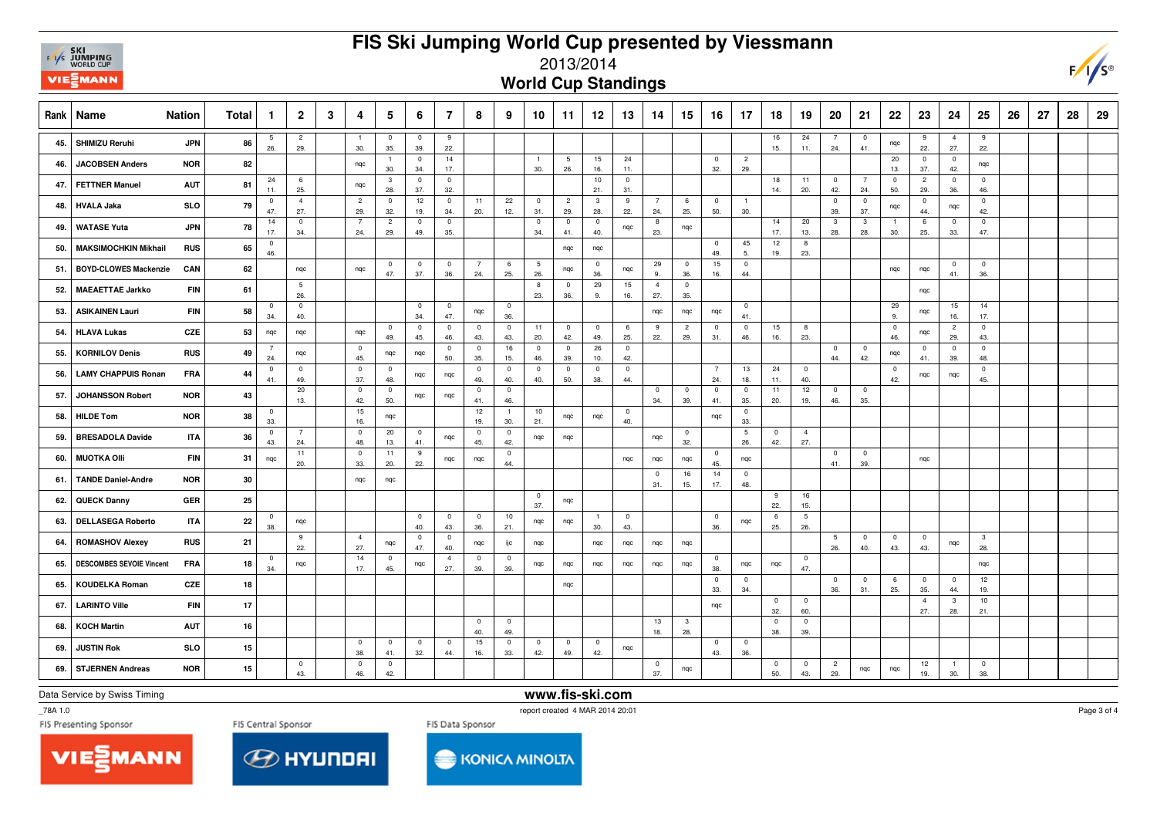## **FIS Ski Jumping World Cup presented by Viessmann**



## 2013/2014

**World Cup Standings**

|     | Rank   Name                     | <b>Nation</b> | <b>Total</b> | $\mathbf{1}$          | $\overline{2}$        | 3 | 4                     | 5                              | 6                              | 7                     | 8                              | 9                              | 10                    | 11                     | 12                             | 13                 | 14                    | 15                    | 16                    | 17                     | 18                    | 19                     | 20                    | 21                             | 22                    | 23                    | 24                    | 25                    | 26 | 27 | 28 | 29 |
|-----|---------------------------------|---------------|--------------|-----------------------|-----------------------|---|-----------------------|--------------------------------|--------------------------------|-----------------------|--------------------------------|--------------------------------|-----------------------|------------------------|--------------------------------|--------------------|-----------------------|-----------------------|-----------------------|------------------------|-----------------------|------------------------|-----------------------|--------------------------------|-----------------------|-----------------------|-----------------------|-----------------------|----|----|----|----|
| 45. | SHIMIZU Reruhi                  | <b>JPN</b>    | 86           | 5<br>26.              | $\overline{c}$<br>29. |   | $\overline{1}$<br>30. | $\overline{0}$<br>35.          | $\overline{0}$<br>39.          | 9<br>22.              |                                |                                |                       |                        |                                |                    |                       |                       |                       |                        | 16<br>15.             | 24<br>11.              | 24.                   | $\overline{0}$<br>41.          | nqc                   | 9<br>22.              | $\overline{4}$<br>27. | -9<br>22.             |    |    |    |    |
| 46. | <b>JACOBSEN Anders</b>          | <b>NOR</b>    | 82           |                       |                       |   | nqc                   | $\overline{1}$<br>30.          | $\overline{0}$<br>34.          | 14<br>17.             |                                |                                | $\overline{1}$<br>30. | $5\phantom{.0}$<br>26. | 15<br>16.                      | 24<br>11.          |                       |                       | $\mathbf 0$<br>32.    | $\overline{2}$<br>29.  |                       |                        |                       |                                | 20<br>13.             | $\overline{0}$<br>37. | $\overline{0}$<br>42. | nqc                   |    |    |    |    |
| 47. | <b>FETTNER Manuel</b>           | <b>AUT</b>    | 81           | 24<br>11.             | 6<br>25.              |   | nqc                   | $\mathbf{3}$<br>28.            | $\overline{0}$<br>37.          | $\overline{0}$<br>32. |                                |                                |                       |                        | 10<br>21.                      | $\mathbf 0$<br>31. |                       |                       |                       |                        | 18<br>14.             | 11<br>20.              | $\mathbf 0$<br>42.    | $\overline{7}$<br>24.          | $\overline{0}$<br>50. | $\overline{2}$<br>29. | $\overline{0}$<br>36. | $\mathbf 0$<br>46.    |    |    |    |    |
| 48. | <b>HVALA Jaka</b>               | SLO           | 79           | $\overline{0}$<br>47. | $\overline{4}$<br>27. |   | $\overline{c}$<br>29. | $\mathbf 0$<br>32.             | 12<br>19.                      | $\mathbf 0$<br>34.    | 11<br>20.                      | 22<br>12.                      | $\mathbf 0$<br>31.    | $\overline{2}$<br>29.  | $\overline{\mathbf{3}}$<br>28. | 9<br>22.           | $\overline{7}$<br>24. | 6<br>25.              | $\pmb{0}$<br>50.      | $\overline{1}$<br>30.  |                       |                        | $\mathbf 0$<br>39.    | $\mathbf 0$<br>37.             | nqc                   | $\mathbf 0$<br>44.    | nqc                   | $\mathbf 0$<br>42.    |    |    |    |    |
| 49. | <b>WATASE Yuta</b>              | <b>JPN</b>    | 78           | 14<br>17.             | $\mathbf 0$<br>34.    |   | $\overline{7}$<br>24. | $\overline{2}$<br>29.          | $\overline{0}$<br>49.          | $\overline{0}$<br>35. |                                |                                | $\overline{0}$<br>34. | $\overline{0}$<br>41.  | $\overline{0}$<br>40.          | nqc                | 8<br>23.              | nqc                   |                       |                        | 14<br>17.             | 20<br>13.              | 3<br>28.              | $\overline{\mathbf{3}}$<br>28. | $\overline{1}$<br>30. | 6<br>25.              | $\overline{0}$<br>33. | $\mathbf 0$<br>47.    |    |    |    |    |
| 50. | <b>MAKSIMOCHKIN Mikhail</b>     | <b>RUS</b>    | 65           | $^{\circ}$<br>46.     |                       |   |                       |                                |                                |                       |                                |                                |                       | nqc                    | nqc                            |                    |                       |                       | $\mathbf 0$<br>49.    | 45<br>5.               | 12<br>19.             | 8<br>23.               |                       |                                |                       |                       |                       |                       |    |    |    |    |
| 51. | <b>BOYD-CLOWES Mackenzie</b>    | CAN           | 62           |                       | nqc                   |   | nqc                   | $\overline{0}$<br>47.          | $\overline{\mathbf{0}}$<br>37. | $\overline{0}$<br>36. | $\overline{7}$<br>24.          | 6<br>25.                       | 5<br>26.              | nqc                    | $\mathbf 0$<br>36.             | nqc                | 29<br>9.              | $\overline{0}$<br>36. | 15<br>16.             | $\mathsf 0$<br>44.     |                       |                        |                       |                                | nqc                   | nqc                   | $\mathbf 0$<br>41.    | $\mathbf 0$<br>36.    |    |    |    |    |
| 52. | <b>MAEAETTAE Jarkko</b>         | <b>FIN</b>    | 61           |                       | $\overline{5}$<br>26. |   |                       |                                |                                |                       |                                |                                | 8<br>23.              | $\overline{0}$<br>36.  | 29<br>9.                       | 15<br>16.          | $\overline{4}$<br>27. | $\overline{0}$<br>35. |                       |                        |                       |                        |                       |                                |                       | nqc                   |                       |                       |    |    |    |    |
| 53. | <b>ASIKAINEN Lauri</b>          | <b>FIN</b>    | 58           | $\mathbf 0$<br>34.    | $\pmb{0}$<br>40.      |   |                       |                                | $\overline{0}$<br>34.          | $^{\circ}$<br>47.     | nqc                            | $\overline{0}$<br>36.          |                       |                        |                                |                    | nqc                   | nqc                   | nqc                   | $\overline{0}$<br>41.  |                       |                        |                       |                                | 29<br>9.              | nqc                   | 15<br>16.             | 14<br>17.             |    |    |    |    |
| 54. | <b>HLAVA Lukas</b>              | CZE           | 53           | nqc                   | nqc                   |   | nqc                   | $\overline{0}$<br>49.          | $\mathbf 0$<br>45.             | $\overline{0}$<br>46. | $\overline{0}$<br>43.          | $\pmb{0}$<br>43.               | 11<br>20.             | $\overline{0}$<br>42.  | $\pmb{0}$<br>49.               | 6<br>25.           | 9<br>22.              | $\overline{c}$<br>29. | $\mathbf 0$<br>31.    | $\mathbf 0$<br>46.     | 15<br>16.             | 8<br>23.               |                       |                                | $\overline{0}$<br>46. | nqc                   | $\overline{2}$<br>29. | $\mathbf 0$<br>43.    |    |    |    |    |
| 55. | <b>KORNILOV Denis</b>           | <b>RUS</b>    | 49           | 7<br>24.              | nqc                   |   | $\overline{0}$<br>45. | nqc                            | nqc                            | $\overline{0}$<br>50. | $\overline{0}$<br>35.          | 16<br>15.                      | $\overline{0}$<br>46. | $\overline{0}$<br>39.  | 26<br>10.                      | $\mathbf 0$<br>42. |                       |                       |                       |                        |                       |                        | $\mathbf 0$<br>44.    | $\overline{\mathbf{0}}$<br>42. | nqc                   | $\overline{0}$<br>41. | $\overline{0}$<br>39. | $\mathbf 0$<br>48.    |    |    |    |    |
| 56. | <b>LAMY CHAPPUIS Ronan</b>      | <b>FRA</b>    | 44           | $\overline{0}$<br>41. | $\mathbf 0$<br>49.    |   | $\mathbf 0$<br>37.    | $\overline{0}$<br>48.          | nqc                            | nqc                   | $\mathbf 0$<br>49.             | $\overline{0}$<br>40.          | $\overline{0}$<br>40. | $\mathbf 0$<br>50.     | $\overline{0}$<br>38.          | $\mathbf 0$<br>44. |                       |                       | $\overline{7}$<br>24. | 13<br>18.              | 24<br>11.             | $\overline{0}$<br>40.  |                       |                                | $\overline{0}$<br>42. | nqc                   | nqc                   | $\mathbf 0$<br>45.    |    |    |    |    |
| 57. | <b>JOHANSSON Robert</b>         | <b>NOR</b>    | 43           |                       | $20\,$<br>13.         |   | $\overline{0}$<br>42. | $\overline{\mathbf{0}}$<br>50. | nqc                            | nqc                   | $\overline{0}$<br>41.          | $\mathbf 0$<br>46.             |                       |                        |                                |                    | $\overline{0}$<br>34. | $\overline{0}$<br>39. | $\mathbf 0$<br>41.    | $\overline{0}$<br>35.  | 11<br>20.             | 12<br>19.              | $\overline{0}$<br>46. | $\overline{0}$<br>35.          |                       |                       |                       |                       |    |    |    |    |
| 58. | <b>HILDE Tom</b>                | <b>NOR</b>    | 38           | $\mathbf{0}$<br>33.   |                       |   | 15<br>16.             | nqc                            |                                |                       | 12<br>19.                      | $\overline{1}$<br>30.          | 10<br>21.             | nqc                    | nqc                            | $\mathbf 0$<br>40. |                       |                       | nqc                   | $\mathsf 0$<br>33.     |                       |                        |                       |                                |                       |                       |                       |                       |    |    |    |    |
| 59. | <b>BRESADOLA Davide</b>         | <b>ITA</b>    | 36           | $\mathbf 0$<br>43.    | 7<br>24.              |   | $\overline{0}$<br>48. | 20<br>13.                      | $\overline{\mathbf{0}}$<br>41. | nqc                   | $\mathbf 0$<br>45.             | $\overline{\mathbf{0}}$<br>42. | nqc                   | nqc                    |                                |                    | nqc                   | $\overline{0}$<br>32. |                       | $5\phantom{.0}$<br>26. | $\overline{0}$<br>42. | $\overline{4}$<br>27.  |                       |                                |                       |                       |                       |                       |    |    |    |    |
| 60. | <b>MUOTKA OIII</b>              | <b>FIN</b>    | 31           | nqc                   | 11<br>20.             |   | $\mathbf 0$<br>33.    | 11<br>20.                      | 9<br>22.                       | nqc                   | nqc                            | $\mathbf 0$<br>44.             |                       |                        |                                | nqc                | nqc                   | nqc                   | $\mathbf 0$<br>45.    | nqc                    |                       |                        | $\mathbf 0$<br>41.    | $\overline{0}$<br>39.          |                       | nqc                   |                       |                       |    |    |    |    |
| 61. | <b>TANDE Daniel-Andre</b>       | <b>NOR</b>    | 30           |                       |                       |   | nqc                   | nqc                            |                                |                       |                                |                                |                       |                        |                                |                    | $\overline{0}$<br>31. | 16<br>15.             | 14<br>17.             | $\mathbf 0$<br>48.     |                       |                        |                       |                                |                       |                       |                       |                       |    |    |    |    |
| 62. | <b>QUECK Danny</b>              | GER           | 25           |                       |                       |   |                       |                                |                                |                       |                                |                                | $\overline{0}$<br>37. | nqc                    |                                |                    |                       |                       |                       |                        | 9<br>22.              | 16<br>15.              |                       |                                |                       |                       |                       |                       |    |    |    |    |
| 63. | <b>DELLASEGA Roberto</b>        | <b>ITA</b>    | 22           | $^{\circ}$<br>38.     | nqc                   |   |                       |                                | $\overline{0}$<br>40.          | $\overline{0}$<br>43. | $\mathbf 0$<br>36.             | 10<br>21.                      | nqc                   | nqc                    | 30.                            | $\mathbf 0$<br>43. |                       |                       | $\mathbf 0$<br>36.    | nqc                    | 6<br>25.              | $5\phantom{.0}$<br>26. |                       |                                |                       |                       |                       |                       |    |    |    |    |
| 64. | <b>ROMASHOV Alexey</b>          | <b>RUS</b>    | 21           |                       | 9<br>22.              |   | $\overline{4}$<br>27. | nqc                            | $\mathbf 0$<br>47.             | $\mathbf 0$<br>40.    | nqc                            | ijс                            | nqc                   |                        | nqc                            | nqc                | nqc                   | nqc                   |                       |                        |                       |                        | 5<br>26.              | $\mathbf 0$<br>40.             | $\overline{0}$<br>43. | $\overline{0}$<br>43. | nqc                   | $\mathbf{3}$<br>28.   |    |    |    |    |
| 65. | <b>DESCOMBES SEVOIE Vincent</b> | <b>FRA</b>    | 18           | $\mathbf 0$<br>34.    | nqc                   |   | 14<br>17.             | $\overline{0}$<br>45.          | nqc                            | $\overline{4}$<br>27. | $\overline{\mathbf{0}}$<br>39. | $\overline{0}$<br>39.          | nqc                   | nqc                    | nqc                            | nqc                | nqc                   | nqc                   | $\mathbf 0$<br>38.    | nqc                    | nqc                   | $\overline{0}$<br>47.  |                       |                                |                       |                       |                       | nqc                   |    |    |    |    |
| 65. | <b>KOUDELKA Roman</b>           | CZE           | 18           |                       |                       |   |                       |                                |                                |                       |                                |                                |                       | ngc                    |                                |                    |                       |                       | $\mathbf 0$<br>33.    | $\overline{0}$<br>34.  |                       |                        | $\overline{0}$<br>36. | $\overline{0}$<br>31.          | 6<br>25.              | $\overline{0}$<br>35. | $\overline{0}$<br>44. | 12<br>19.             |    |    |    |    |
| 67. | <b>LARINTO Ville</b>            | <b>FIN</b>    | 17           |                       |                       |   |                       |                                |                                |                       |                                |                                |                       |                        |                                |                    |                       |                       | nqc                   |                        | $\overline{0}$<br>32. | $\overline{0}$<br>60.  |                       |                                |                       | $\overline{4}$<br>27. | $\mathbf{3}$<br>28.   | 10<br>21.             |    |    |    |    |
| 68. | <b>KOCH Martin</b>              | <b>AUT</b>    | 16           |                       |                       |   |                       |                                |                                |                       | $\mathbf 0$<br>40.             | $\mathbf 0$<br>49.             |                       |                        |                                |                    | 13<br>18.             | $\mathbf{3}$<br>28.   |                       |                        | $\mathbf 0$<br>38.    | $\mathbf{0}$<br>39.    |                       |                                |                       |                       |                       |                       |    |    |    |    |
| 69. | <b>JUSTIN Rok</b>               | SLO           | 15           |                       |                       |   | $\mathbf 0$<br>38.    | $\overline{0}$<br>41.          | $\overline{0}$<br>32.          | 0<br>44.              | 15<br>16.                      | $\mathbf 0$<br>33.             | 0<br>42.              | $\overline{0}$<br>49.  | $\overline{0}$<br>42.          | nqc                |                       |                       | $\mathbf 0$<br>43.    | $\overline{0}$<br>36.  |                       |                        |                       |                                |                       |                       |                       |                       |    |    |    |    |
| 69. | <b>STJERNEN Andreas</b>         | <b>NOR</b>    | 15           |                       | $\mathbf 0$<br>43.    |   | $\mathbf 0$<br>46.    | $\overline{0}$<br>42.          |                                |                       |                                |                                |                       |                        |                                |                    | $\mathbf 0$<br>37.    | nqc                   |                       |                        | $\mathbf{0}$<br>50.   | $\mathbf 0$<br>43.     | $\overline{2}$<br>29. | nqc                            | nqc                   | 12<br>19.             | -1<br>30.             | $\overline{0}$<br>38. |    |    |    |    |

Data Service by Swiss Timing

**www.fis-ski.com**

\_78A 1.0

report created 4 MAR 2014 20:01





KONICA MINOLTA

Page 3 of 4